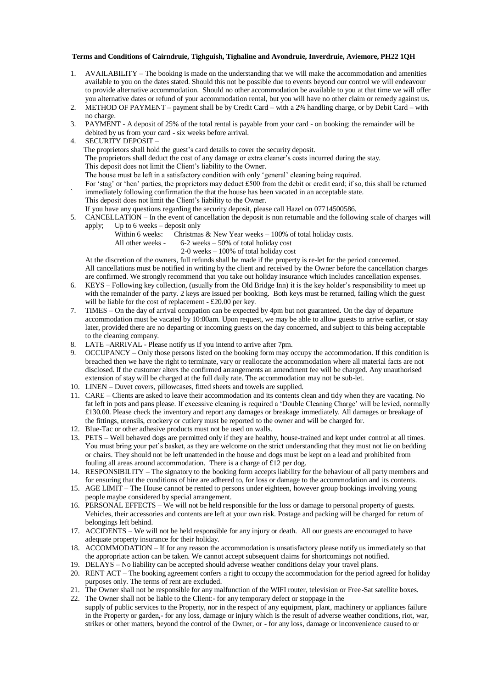## **Terms and Conditions of Cairndruie, Tighguish, Tighaline and Avondruie, Inverdruie, Aviemore, PH22 1QH**

- 1. AVAILABILITY The booking is made on the understanding that we will make the accommodation and amenities available to you on the dates stated. Should this not be possible due to events beyond our control we will endeavour to provide alternative accommodation. Should no other accommodation be available to you at that time we will offer you alternative dates or refund of your accommodation rental, but you will have no other claim or remedy against us.
- 2. METHOD OF PAYMENT payment shall be by Credit Card with a 2% handling charge, or by Debit Card with no charge.
- 3. PAYMENT A deposit of 25% of the total rental is payable from your card on booking; the remainder will be debited by us from your card - six weeks before arrival.
- 4. SECURITY DEPOSIT
	- The proprietors shall hold the guest's card details to cover the security deposit.

The proprietors shall deduct the cost of any damage or extra cleaner's costs incurred during the stay.

This deposit does not limit the Client's liability to the Owner.

- The house must be left in a satisfactory condition with only 'general' cleaning being required.
- For 'stag' or 'hen' parties, the proprietors may deduct £500 from the debit or credit card; if so, this shall be returned immediately following confirmation the that the house has been vacated in an acceptable state.
	- This deposit does not limit the Client's liability to the Owner.
	- If you have any questions regarding the security deposit, please call Hazel on 07714500586.
- 5. CANCELLATION In the event of cancellation the deposit is non returnable and the following scale of charges will apply; Up to 6 weeks – deposit only
	- Within 6 weeks: Christmas & New Year weeks 100% of total holiday costs.
	- All other weeks 6-2 weeks 50% of total holiday cost
		- 2-0 weeks 100% of total holiday cost

At the discretion of the owners, full refunds shall be made if the property is re-let for the period concerned. All cancellations must be notified in writing by the client and received by the Owner before the cancellation charges are confirmed. We strongly recommend that you take out holiday insurance which includes cancellation expenses.

- 6. KEYS Following key collection, (usually from the Old Bridge Inn) it is the key holder's responsibility to meet up with the remainder of the party. 2 keys are issued per booking. Both keys must be returned, failing which the guest will be liable for the cost of replacement - £20.00 per key.
- 7. TIMES On the day of arrival occupation can be expected by 4pm but not guaranteed. On the day of departure accommodation must be vacated by 10:00am. Upon request, we may be able to allow guests to arrive earlier, or stay later, provided there are no departing or incoming guests on the day concerned, and subject to this being acceptable to the cleaning company.
- 8. LATE –ARRIVAL Please notify us if you intend to arrive after 7pm.
- 9. OCCUPANCY Only those persons listed on the booking form may occupy the accommodation. If this condition is breached then we have the right to terminate, vary or reallocate the accommodation where all material facts are not disclosed. If the customer alters the confirmed arrangements an amendment fee will be charged. Any unauthorised extension of stay will be charged at the full daily rate. The accommodation may not be sub-let.
- 10. LINEN Duvet covers, pillowcases, fitted sheets and towels are supplied.
- 11. CARE Clients are asked to leave their accommodation and its contents clean and tidy when they are vacating. No fat left in pots and pans please. If excessive cleaning is required a 'Double Cleaning Charge' will be levied, normally £130.00. Please check the inventory and report any damages or breakage immediately. All damages or breakage of the fittings, utensils, crockery or cutlery must be reported to the owner and will be charged for.
- 12. Blue-Tac or other adhesive products must not be used on walls.
- 13. PETS Well behaved dogs are permitted only if they are healthy, house-trained and kept under control at all times. You must bring your pet's basket, as they are welcome on the strict understanding that they must not lie on bedding or chairs. They should not be left unattended in the house and dogs must be kept on a lead and prohibited from fouling all areas around accommodation. There is a charge of £12 per dog.
- 14. RESPONSIBILITY The signatory to the booking form accepts liability for the behaviour of all party members and for ensuring that the conditions of hire are adhered to, for loss or damage to the accommodation and its contents.
- 15. AGE LIMIT The House cannot be rented to persons under eighteen, however group bookings involving young people maybe considered by special arrangement.
- 16. PERSONAL EFFECTS We will not be held responsible for the loss or damage to personal property of guests. Vehicles, their accessories and contents are left at your own risk. Postage and packing will be charged for return of belongings left behind.
- 17. ACCIDENTS We will not be held responsible for any injury or death. All our guests are encouraged to have adequate property insurance for their holiday.
- 18. ACCOMMODATION If for any reason the accommodation is unsatisfactory please notify us immediately so that the appropriate action can be taken. We cannot accept subsequent claims for shortcomings not notified.
- 19. DELAYS No liability can be accepted should adverse weather conditions delay your travel plans.
- 20. RENT ACT The booking agreement confers a right to occupy the accommodation for the period agreed for holiday purposes only. The terms of rent are excluded.
- 21. The Owner shall not be responsible for any malfunction of the WIFI router, television or Free-Sat satellite boxes.
- 22. The Owner shall not be liable to the Client:- for any temporary defect or stoppage in the supply of public services to the Property, nor in the respect of any equipment, plant, machinery or appliances failure in the Property or garden,- for any loss, damage or injury which is the result of adverse weather conditions, riot, war, strikes or other matters, beyond the control of the Owner, or - for any loss, damage or inconvenience caused to or